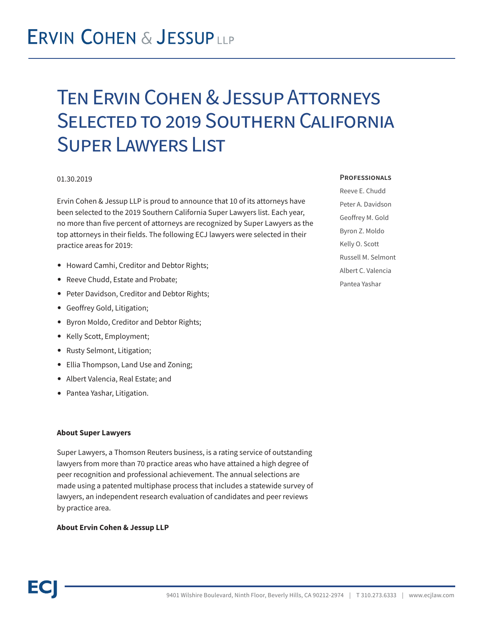## Ten Ervin Cohen & Jessup Attorneys Selected to 2019 Southern California Super Lawyers List

#### 01.30.2019

Ervin Cohen & Jessup LLP is proud to announce that 10 of its attorneys have been selected to the 2019 Southern California Super Lawyers list. Each year, no more than five percent of attorneys are recognized by Super Lawyers as the top attorneys in their fields. The following ECJ lawyers were selected in their practice areas for 2019:

- Howard Camhi, Creditor and Debtor Rights;
- Reeve Chudd, Estate and Probate;
- Peter Davidson, Creditor and Debtor Rights;
- Geoffrey Gold, Litigation;
- Byron Moldo, Creditor and Debtor Rights;
- Kelly Scott, Employment;
- Rusty Selmont, Litigation;
- Ellia Thompson, Land Use and Zoning;
- Albert Valencia, Real Estate; and
- Pantea Yashar, Litigation.

### **About Super Lawyers**

Super Lawyers, a Thomson Reuters business, is a rating service of outstanding lawyers from more than 70 practice areas who have attained a high degree of peer recognition and professional achievement. The annual selections are made using a patented multiphase process that includes a statewide survey of lawyers, an independent research evaluation of candidates and peer reviews by practice area.

### **About Ervin Cohen & Jessup LLP**

#### **Professionals**

Reeve E. Chudd Peter A. Davidson Geoffrey M. Gold Byron Z. Moldo Kelly O. Scott Russell M. Selmont Albert C. Valencia Pantea Yashar